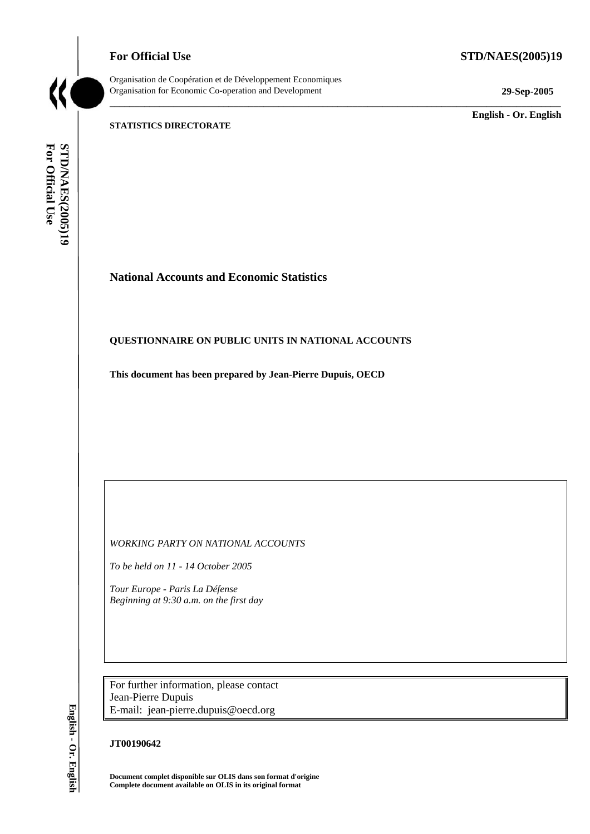**For Official Use STD/NAES(2005)19** 



Organisation de Coopération et de Développement Economiques Organisation for Economic Co-operation and Development **29-Sep-2005** 

\_\_\_\_\_\_\_\_\_\_\_\_\_\_\_\_\_\_\_\_\_\_\_\_\_\_\_\_\_\_\_\_\_\_\_\_\_\_\_\_\_\_\_\_\_\_\_\_\_\_\_\_\_\_\_\_\_\_\_\_\_\_\_\_\_\_\_\_\_\_\_\_\_\_\_\_\_\_\_\_\_\_\_\_\_\_\_\_\_\_\_

\_\_\_\_\_\_\_\_\_\_\_\_\_ **English - Or. English** 

#### **STATISTICS DIRECTORATE**

For Official Use **STD/NAES(2005)19 For Official Use STD/NAES(2005)19 English - Or. English**

# **National Accounts and Economic Statistics**

### **QUESTIONNAIRE ON PUBLIC UNITS IN NATIONAL ACCOUNTS**

**This document has been prepared by Jean-Pierre Dupuis, OECD** 

*WORKING PARTY ON NATIONAL ACCOUNTS* 

*To be held on 11 - 14 October 2005* 

*Tour Europe - Paris La Défense Beginning at 9:30 a.m. on the first day* 

For further information, please contact Jean-Pierre Dupuis E-mail: jean-pierre.dupuis@oecd.org

### **JT00190642**

**Document complet disponible sur OLIS dans son format d'origine Complete document available on OLIS in its original format**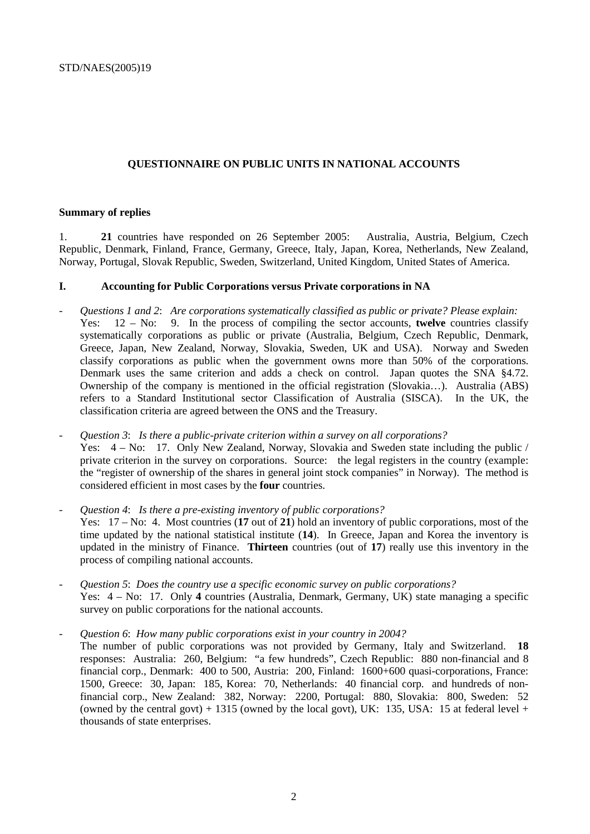## **QUESTIONNAIRE ON PUBLIC UNITS IN NATIONAL ACCOUNTS**

#### **Summary of replies**

1. **21** countries have responded on 26 September 2005: Australia, Austria, Belgium, Czech Republic, Denmark, Finland, France, Germany, Greece, Italy, Japan, Korea, Netherlands, New Zealand, Norway, Portugal, Slovak Republic, Sweden, Switzerland, United Kingdom, United States of America.

### **I. Accounting for Public Corporations versus Private corporations in NA**

- *Questions 1 and 2*: *Are corporations systematically classified as public or private? Please explain:* Yes: 12 – No: 9. In the process of compiling the sector accounts, **twelve** countries classify systematically corporations as public or private (Australia, Belgium, Czech Republic, Denmark, Greece, Japan, New Zealand, Norway, Slovakia, Sweden, UK and USA). Norway and Sweden classify corporations as public when the government owns more than 50% of the corporations. Denmark uses the same criterion and adds a check on control. Japan quotes the SNA §4.72. Ownership of the company is mentioned in the official registration (Slovakia…). Australia (ABS) refers to a Standard Institutional sector Classification of Australia (SISCA). In the UK, the classification criteria are agreed between the ONS and the Treasury.
- *Question 3*: *Is there a public-private criterion within a survey on all corporations?* Yes: 4 – No: 17. Only New Zealand, Norway, Slovakia and Sweden state including the public / private criterion in the survey on corporations. Source: the legal registers in the country (example: the "register of ownership of the shares in general joint stock companies" in Norway). The method is considered efficient in most cases by the **four** countries.
- *Question 4*: *Is there a pre-existing inventory of public corporations?* Yes: 17 – No: 4. Most countries (**17** out of **21**) hold an inventory of public corporations, most of the time updated by the national statistical institute (**14**). In Greece, Japan and Korea the inventory is updated in the ministry of Finance. **Thirteen** countries (out of **17**) really use this inventory in the process of compiling national accounts.
- *Question 5*: *Does the country use a specific economic survey on public corporations?*  Yes: 4 – No: 17. Only **4** countries (Australia, Denmark, Germany, UK) state managing a specific survey on public corporations for the national accounts.
- *Question 6*: *How many public corporations exist in your country in 2004?*

 The number of public corporations was not provided by Germany, Italy and Switzerland. **18** responses: Australia: 260, Belgium: "a few hundreds", Czech Republic: 880 non-financial and 8 financial corp., Denmark: 400 to 500, Austria: 200, Finland: 1600+600 quasi-corporations, France: 1500, Greece: 30, Japan: 185, Korea: 70, Netherlands: 40 financial corp. and hundreds of nonfinancial corp., New Zealand: 382, Norway: 2200, Portugal: 880, Slovakia: 800, Sweden: 52 (owned by the central govt) + 1315 (owned by the local govt), UK: 135, USA: 15 at federal level + thousands of state enterprises.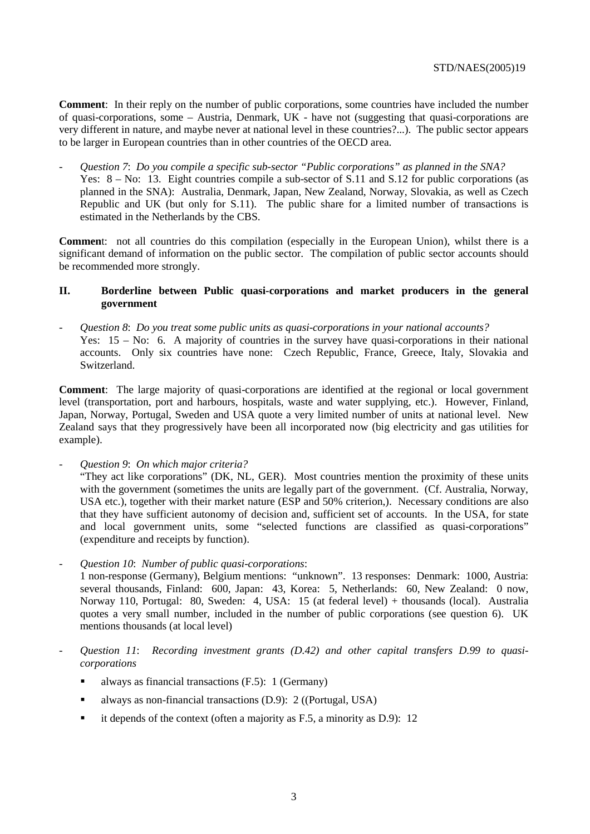**Comment**: In their reply on the number of public corporations, some countries have included the number of quasi-corporations, some – Austria, Denmark, UK - have not (suggesting that quasi-corporations are very different in nature, and maybe never at national level in these countries?...). The public sector appears to be larger in European countries than in other countries of the OECD area.

- *Question 7*: *Do you compile a specific sub-sector "Public corporations" as planned in the SNA?* Yes:  $8 - No$ : 13. Eight countries compile a sub-sector of S.11 and S.12 for public corporations (as planned in the SNA): Australia, Denmark, Japan, New Zealand, Norway, Slovakia, as well as Czech Republic and UK (but only for S.11). The public share for a limited number of transactions is estimated in the Netherlands by the CBS.

**Commen**t: not all countries do this compilation (especially in the European Union), whilst there is a significant demand of information on the public sector. The compilation of public sector accounts should be recommended more strongly.

## **II. Borderline between Public quasi-corporations and market producers in the general government**

- *Question 8*: *Do you treat some public units as quasi-corporations in your national accounts?* Yes: 15 – No: 6. A majority of countries in the survey have quasi-corporations in their national accounts. Only six countries have none: Czech Republic, France, Greece, Italy, Slovakia and Switzerland.

**Comment**: The large majority of quasi-corporations are identified at the regional or local government level (transportation, port and harbours, hospitals, waste and water supplying, etc.). However, Finland, Japan, Norway, Portugal, Sweden and USA quote a very limited number of units at national level. New Zealand says that they progressively have been all incorporated now (big electricity and gas utilities for example).

- *Question 9*: *On which major criteria?*

 "They act like corporations" (DK, NL, GER). Most countries mention the proximity of these units with the government (sometimes the units are legally part of the government. (Cf. Australia, Norway, USA etc.), together with their market nature (ESP and 50% criterion,). Necessary conditions are also that they have sufficient autonomy of decision and, sufficient set of accounts. In the USA, for state and local government units, some "selected functions are classified as quasi-corporations" (expenditure and receipts by function).

- *Question 10*: *Number of public quasi-corporations*:

 1 non-response (Germany), Belgium mentions: "unknown". 13 responses: Denmark: 1000, Austria: several thousands, Finland: 600, Japan: 43, Korea: 5, Netherlands: 60, New Zealand: 0 now, Norway 110, Portugal: 80, Sweden: 4, USA: 15 (at federal level) + thousands (local). Australia quotes a very small number, included in the number of public corporations (see question 6). UK mentions thousands (at local level)

- *Question 11*: *Recording investment grants (D.42) and other capital transfers D.99 to quasicorporations*
	- always as financial transactions (F.5): 1 (Germany)
	- always as non-financial transactions (D.9): 2 ((Portugal, USA)
	- it depends of the context (often a majority as  $F.5$ , a minority as  $D.9$ ): 12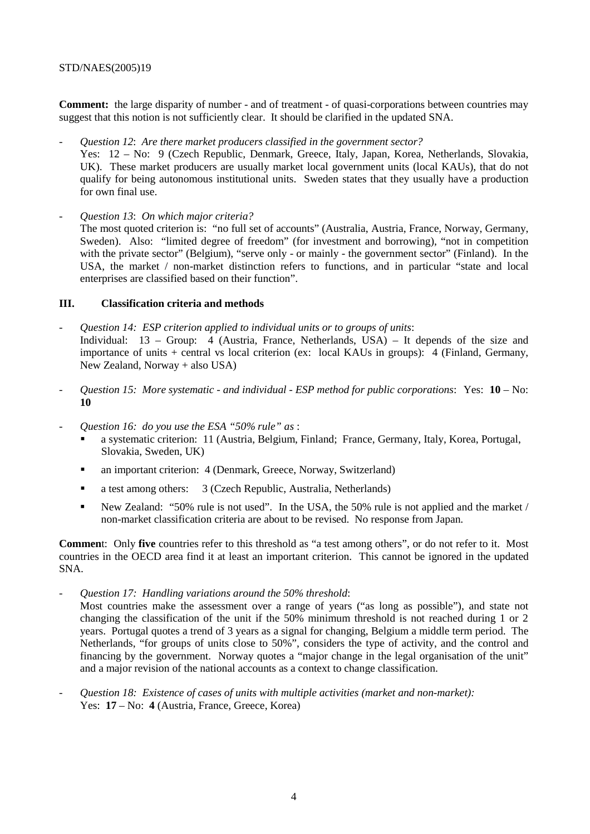## STD/NAES(2005)19

**Comment:** the large disparity of number - and of treatment - of quasi-corporations between countries may suggest that this notion is not sufficiently clear. It should be clarified in the updated SNA.

- *Question 12*: *Are there market producers classified in the government sector?* Yes: 12 – No: 9 (Czech Republic, Denmark, Greece, Italy, Japan, Korea, Netherlands, Slovakia, UK). These market producers are usually market local government units (local KAUs), that do not qualify for being autonomous institutional units. Sweden states that they usually have a production for own final use.
- *Question 13*: *On which major criteria?* The most quoted criterion is: "no full set of accounts" (Australia, Austria, France, Norway, Germany, Sweden). Also: "limited degree of freedom" (for investment and borrowing), "not in competition with the private sector" (Belgium), "serve only - or mainly - the government sector" (Finland). In the USA, the market / non-market distinction refers to functions, and in particular "state and local enterprises are classified based on their function".

## **III. Classification criteria and methods**

- *Question 14: ESP criterion applied to individual units or to groups of units*: Individual: 13 – Group: 4 (Austria, France, Netherlands, USA) – It depends of the size and importance of units + central vs local criterion (ex: local KAUs in groups): 4 (Finland, Germany, New Zealand, Norway + also USA)
- *Question 15: More systematic and individual ESP method for public corporations*: Yes: **10** No: **10**
- *Question 16: do you use the ESA "50% rule" as* :
	- a systematic criterion: 11 (Austria, Belgium, Finland; France, Germany, Italy, Korea, Portugal, Slovakia, Sweden, UK)
	- an important criterion: 4 (Denmark, Greece, Norway, Switzerland)
	- a test among others: 3 (Czech Republic, Australia, Netherlands)
	- New Zealand: "50% rule is not used". In the USA, the 50% rule is not applied and the market / non-market classification criteria are about to be revised. No response from Japan.

**Commen**t: Only **five** countries refer to this threshold as "a test among others", or do not refer to it. Most countries in the OECD area find it at least an important criterion. This cannot be ignored in the updated SNA.

*- Question 17: Handling variations around the 50% threshold*:

 Most countries make the assessment over a range of years ("as long as possible"), and state not changing the classification of the unit if the 50% minimum threshold is not reached during 1 or 2 years. Portugal quotes a trend of 3 years as a signal for changing, Belgium a middle term period. The Netherlands, "for groups of units close to 50%", considers the type of activity, and the control and financing by the government. Norway quotes a "major change in the legal organisation of the unit" and a major revision of the national accounts as a context to change classification.

- *Question 18: Existence of cases of units with multiple activities (market and non-market):* Yes: **17** – No: **4** (Austria, France, Greece, Korea)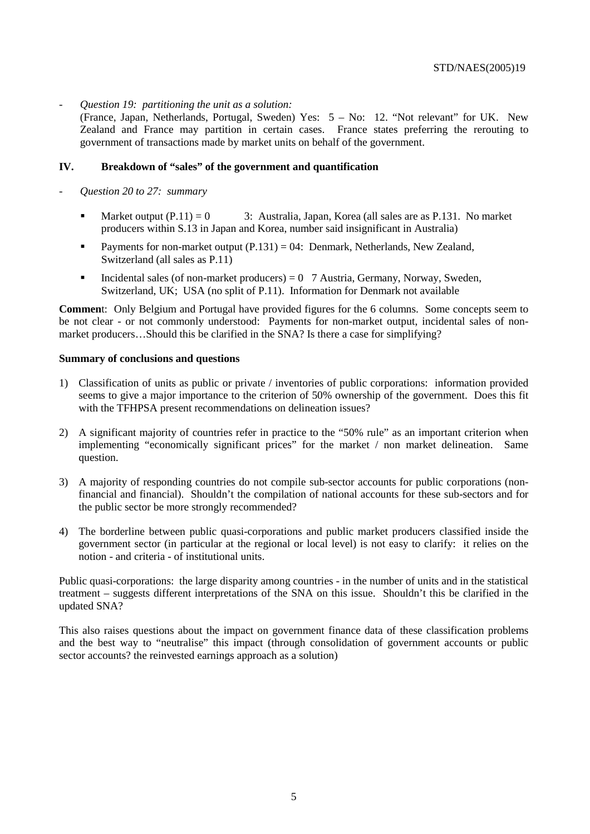*- Question 19: partitioning the unit as a solution:* 

 (France, Japan, Netherlands, Portugal, Sweden) Yes: 5 – No: 12. "Not relevant" for UK. New Zealand and France may partition in certain cases. France states preferring the rerouting to government of transactions made by market units on behalf of the government.

#### **IV. Breakdown of "sales" of the government and quantification**

- *Question 20 to 27: summary*
	- Market output  $(P.11) = 0$  3: Australia, Japan, Korea (all sales are as P.131. No market producers within S.13 in Japan and Korea, number said insignificant in Australia)
	- Payments for non-market output  $(P.131) = 04$ : Denmark, Netherlands, New Zealand, Switzerland (all sales as P.11)
	- Incidental sales (of non-market producers) =  $0$  7 Austria, Germany, Norway, Sweden, Switzerland, UK; USA (no split of P.11). Information for Denmark not available

**Commen**t: Only Belgium and Portugal have provided figures for the 6 columns. Some concepts seem to be not clear - or not commonly understood: Payments for non-market output, incidental sales of nonmarket producers…Should this be clarified in the SNA? Is there a case for simplifying?

#### **Summary of conclusions and questions**

- 1) Classification of units as public or private / inventories of public corporations: information provided seems to give a major importance to the criterion of 50% ownership of the government. Does this fit with the TFHPSA present recommendations on delineation issues?
- 2) A significant majority of countries refer in practice to the "50% rule" as an important criterion when implementing "economically significant prices" for the market / non market delineation. Same question.
- 3) A majority of responding countries do not compile sub-sector accounts for public corporations (nonfinancial and financial). Shouldn't the compilation of national accounts for these sub-sectors and for the public sector be more strongly recommended?
- 4) The borderline between public quasi-corporations and public market producers classified inside the government sector (in particular at the regional or local level) is not easy to clarify: it relies on the notion - and criteria - of institutional units.

Public quasi-corporations: the large disparity among countries - in the number of units and in the statistical treatment – suggests different interpretations of the SNA on this issue. Shouldn't this be clarified in the updated SNA?

This also raises questions about the impact on government finance data of these classification problems and the best way to "neutralise" this impact (through consolidation of government accounts or public sector accounts? the reinvested earnings approach as a solution)